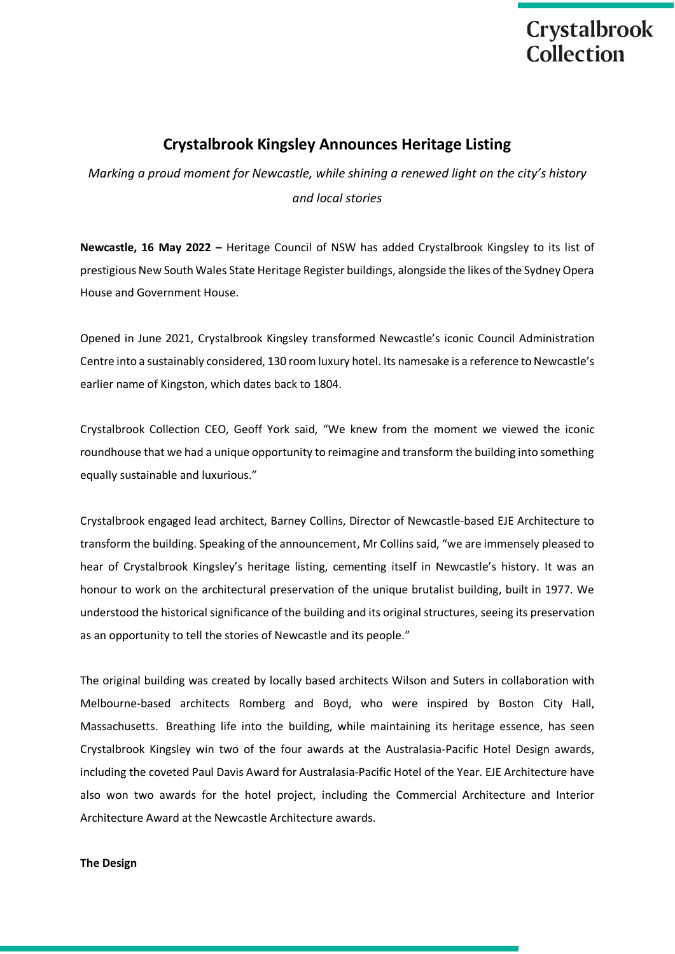### **Crystalbrook Kingsley Announces Heritage Listing**

*Marking a proud moment for Newcastle, while shining a renewed light on the city's history and local stories*

**Newcastle, 16 May 2022 –** Heritage Council of NSW has added Crystalbrook Kingsley to its list of prestigious New South Wales State Heritage Register buildings, alongside the likes of the Sydney Opera House and Government House.

Opened in June 2021, Crystalbrook Kingsley transformed Newcastle's iconic Council Administration Centre into a sustainably considered, 130 room luxury hotel. Its namesake is a reference to Newcastle's earlier name of Kingston, which dates back to 1804.

Crystalbrook Collection CEO, Geoff York said, "We knew from the moment we viewed the iconic roundhouse that we had a unique opportunity to reimagine and transform the building into something equally sustainable and luxurious."

Crystalbrook engaged lead architect, Barney Collins, Director of Newcastle-based EJE Architecture to transform the building. Speaking of the announcement, Mr Collins said, "we are immensely pleased to hear of Crystalbrook Kingsley's heritage listing, cementing itself in Newcastle's history. It was an honour to work on the architectural preservation of the unique brutalist building, built in 1977. We understood the historical significance of the building and its original structures, seeing its preservation as an opportunity to tell the stories of Newcastle and its people."

The original building was created by locally based architects Wilson and Suters in collaboration with Melbourne-based architects Romberg and Boyd, who were inspired by Boston City Hall, Massachusetts. Breathing life into the building, while maintaining its heritage essence, has seen Crystalbrook Kingsley win two of the four awards at the Australasia-Pacific Hotel Design awards, including the coveted Paul Davis Award for Australasia-Pacific Hotel of the Year. EJE Architecture have also won two awards for the hotel project, including the Commercial Architecture and Interior Architecture Award at the Newcastle Architecture awards.

#### **The Design**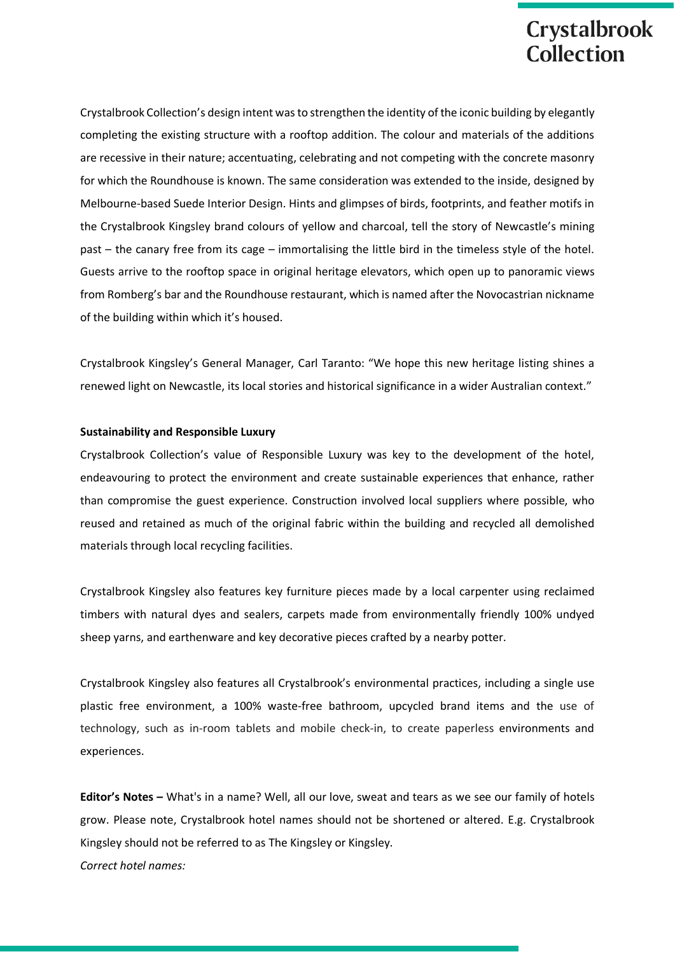Crystalbrook Collection's design intent was to strengthen the identity of the iconic building by elegantly completing the existing structure with a rooftop addition. The colour and materials of the additions are recessive in their nature; accentuating, celebrating and not competing with the concrete masonry for which the Roundhouse is known. The same consideration was extended to the inside, designed by Melbourne-based Suede Interior Design. Hints and glimpses of birds, footprints, and feather motifs in the Crystalbrook Kingsley brand colours of yellow and charcoal, tell the story of Newcastle's mining past – the canary free from its cage – immortalising the little bird in the timeless style of the hotel. Guests arrive to the rooftop space in original heritage elevators, which open up to panoramic views from Romberg's bar and the Roundhouse restaurant, which is named after the Novocastrian nickname of the building within which it's housed.

Crystalbrook Kingsley's General Manager, Carl Taranto: "We hope this new heritage listing shines a renewed light on Newcastle, its local stories and historical significance in a wider Australian context."

#### **Sustainability and Responsible Luxury**

Crystalbrook Collection's value of Responsible Luxury was key to the development of the hotel, endeavouring to protect the environment and create sustainable experiences that enhance, rather than compromise the guest experience. Construction involved local suppliers where possible, who reused and retained as much of the original fabric within the building and recycled all demolished materials through local recycling facilities.

Crystalbrook Kingsley also features key furniture pieces made by a local carpenter using reclaimed timbers with natural dyes and sealers, carpets made from environmentally friendly 100% undyed sheep yarns, and earthenware and key decorative pieces crafted by a nearby potter.

Crystalbrook Kingsley also features all Crystalbrook's environmental practices, including a single use plastic free environment, a 100% waste-free bathroom, upcycled brand items and the use of technology, such as in-room tablets and mobile check-in, to create paperless environments and experiences.

**Editor's Notes –** What's in a name? Well, all our love, sweat and tears as we see our family of hotels grow. Please note, Crystalbrook hotel names should not be shortened or altered. E.g. Crystalbrook Kingsley should not be referred to as The Kingsley or Kingsley.

*Correct hotel names:*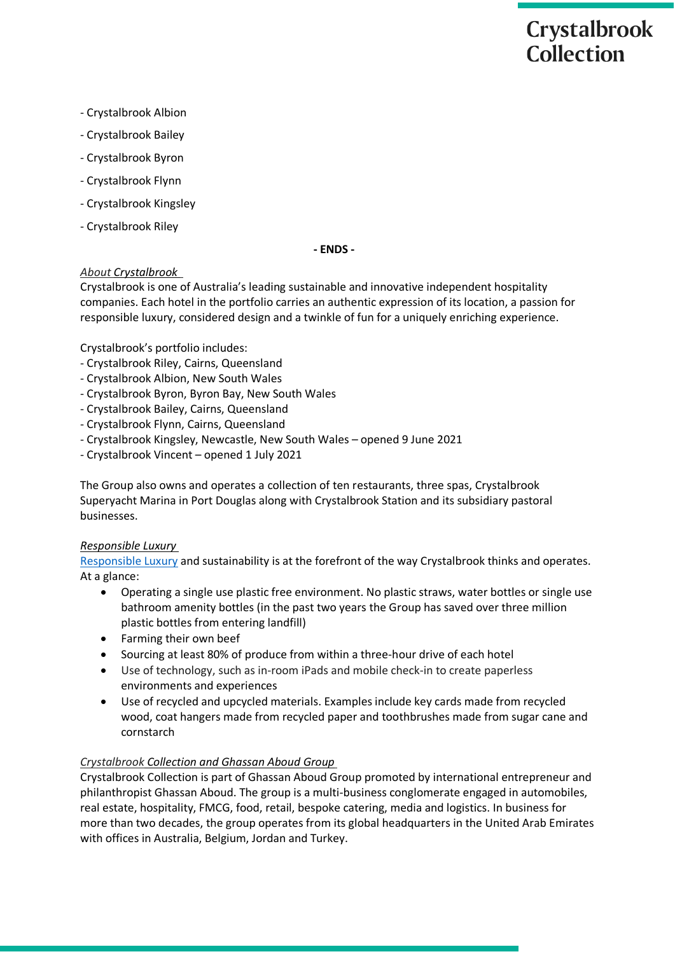- Crystalbrook Albion
- Crystalbrook Bailey
- Crystalbrook Byron
- Crystalbrook Flynn
- Crystalbrook Kingsley
- Crystalbrook Riley

**- ENDS -**

#### *About Crystalbrook*

Crystalbrook is one of Australia's leading sustainable and innovative independent hospitality companies. Each hotel in the portfolio carries an authentic expression of its location, a passion for responsible luxury, considered design and a twinkle of fun for a uniquely enriching experience.

Crystalbrook's portfolio includes: 

- Crystalbrook Riley, Cairns, Queensland
- Crystalbrook Albion, New South Wales
- Crystalbrook Byron, Byron Bay, New South Wales
- Crystalbrook Bailey, Cairns, Queensland
- Crystalbrook Flynn, Cairns, Queensland
- Crystalbrook Kingsley, Newcastle, New South Wales opened 9 June 2021
- Crystalbrook Vincent opened 1 July 2021

The Group also owns and operates a collection of ten restaurants, three spas, Crystalbrook Superyacht Marina in Port Douglas along with Crystalbrook Station and its subsidiary pastoral businesses.

#### *Responsible Luxury*

[Responsible](https://www.crystalbrookcollection.com/responsible-luxury) Luxury and sustainability is at the forefront of the way Crystalbrook thinks and operates. At a glance:

- Operating a single use plastic free environment. No plastic straws, water bottles or single use bathroom amenity bottles (in the past two years the Group has saved over three million plastic bottles from entering landfill)
- Farming their own beef
- Sourcing at least 80% of produce from within a three-hour drive of each hotel
- Use of technology, such as in-room iPads and mobile check-in to create paperless environments and experiences
- Use of recycled and upcycled materials. Examples include key cards made from recycled wood, coat hangers made from recycled paper and toothbrushes made from sugar cane and cornstarch

#### *Crystalbrook Collection and Ghassan Aboud Group*

Crystalbrook Collection is part of Ghassan Aboud Group promoted by international entrepreneur and philanthropist Ghassan Aboud. The group is a multi-business conglomerate engaged in automobiles, real estate, hospitality, FMCG, food, retail, bespoke catering, media and logistics. In business for more than two decades, the group operates from its global headquarters in the United Arab Emirates with offices in Australia, Belgium, Jordan and Turkey.